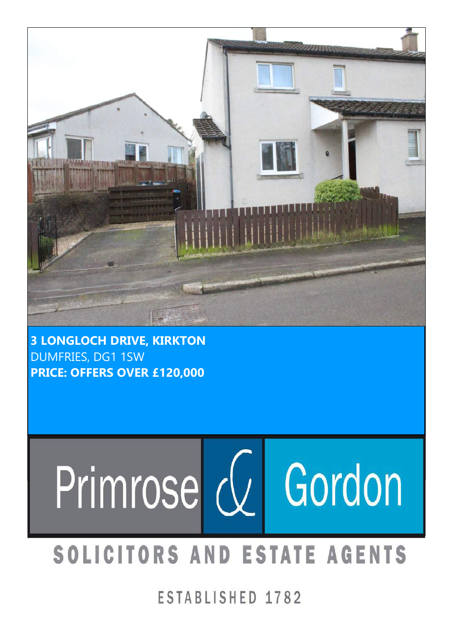

**3 LONGLOCH DRIVE, KIRKTON** DUMFRIES, DG1 1SW **PRICE: OFFERS OVER £120,000**

555 555 5555

#### Name Co 555 555 5555 55 555 555 5555 555 555 5555 555 555 555 555 5555 avı uv 5<br>5<br>5 555 555 5555 555 555 5555

# SOLICITORS AND ESTATE AGENTS

ESTABLISHED 1782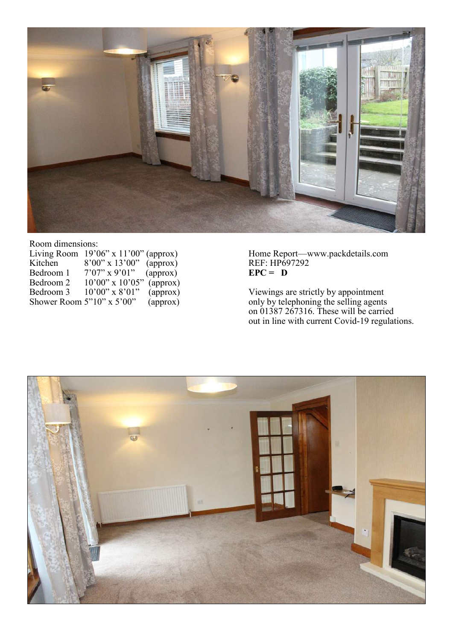

Room dimensions:

|           | Living Room $19'06''$ x $11'00''$ (approx) |                  | Home Report—www.packdetails.com        |
|-----------|--------------------------------------------|------------------|----------------------------------------|
| Kitchen   | $8'00''$ x 13'00"                          | ${\rm (approx)}$ | REF: HP697292                          |
| Bedroom 1 | $7'07''$ x 9'01"                           | (approx)         | $EPC = D$                              |
| Bedroom 2 | $10'00''$ x $10'05''$                      | (approx)         |                                        |
|           | Bedroom 3 $10'00''$ x 8'01"                | (approx)         | Viewings are strictly by appointment   |
|           | Shower Room $5"10" \times 5"00"$           | (approx)         | only by telephoning the selling agents |

on 01387 267316. These will be carried out in line with current Covid-19 regulations.

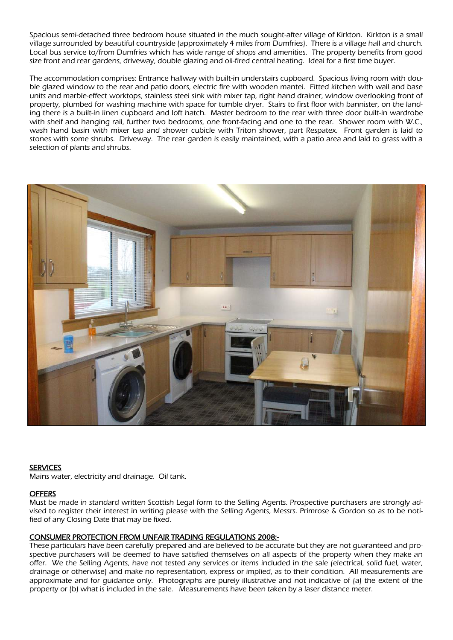Spacious semi-detached three bedroom house situated in the much sought-after village of Kirkton. Kirkton is a small village surrounded by beautiful countryside (approximately 4 miles from Dumfries). There is a village hall and church. Local bus service to/from Dumfries which has wide range of shops and amenities. The property benefits from good size front and rear gardens, driveway, double glazing and oil-fired central heating. Ideal for a first time buyer.

The accommodation comprises: Entrance hallway with built-in understairs cupboard. Spacious living room with double glazed window to the rear and patio doors, electric fire with wooden mantel. Fitted kitchen with wall and base units and marble-effect worktops, stainless steel sink with mixer tap, right hand drainer, window overlooking front of property, plumbed for washing machine with space for tumble dryer. Stairs to first floor with bannister, on the landing there is a built-in linen cupboard and loft hatch. Master bedroom to the rear with three door built-in wardrobe with shelf and hanging rail, further two bedrooms, one front-facing and one to the rear. Shower room with W.C., wash hand basin with mixer tap and shower cubicle with Triton shower, part Respatex. Front garden is laid to stones with some shrubs. Driveway. The rear garden is easily maintained, with a patio area and laid to grass with a selection of plants and shrubs.



## **SERVICES**

Mains water, electricity and drainage. Oil tank.

## **OFFERS**

Must be made in standard written Scottish Legal form to the Selling Agents. Prospective purchasers are strongly advised to register their interest in writing please with the Selling Agents, Messrs. Primrose & Gordon so as to be notified of any Closing Date that may be fixed.

## CONSUMER PROTECTION FROM UNFAIR TRADING REGULATIONS 2008:-

These particulars have been carefully prepared and are believed to be accurate but they are not guaranteed and prospective purchasers will be deemed to have satisfied themselves on all aspects of the property when they make an offer. We the Selling Agents, have not tested any services or items included in the sale (electrical, solid fuel, water, drainage or otherwise) and make no representation, express or implied, as to their condition. All measurements are approximate and for guidance only. Photographs are purely illustrative and not indicative of (a) the extent of the property or (b) what is included in the sale. Measurements have been taken by a laser distance meter.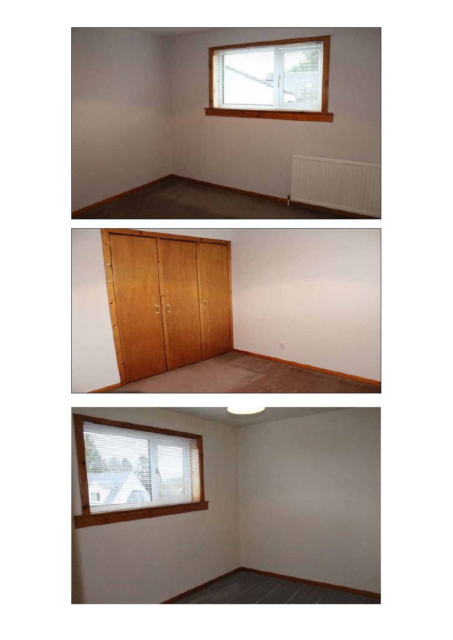



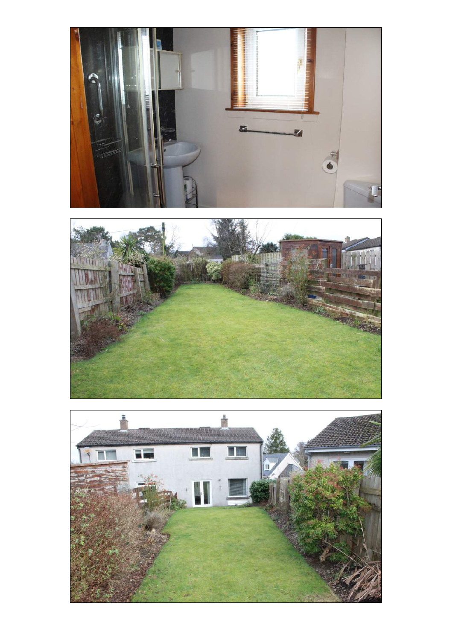